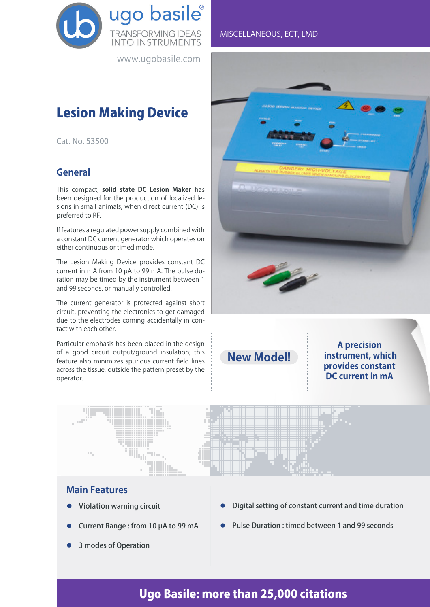

www.ugobasile.com

# Lesion Making Device

Cat. No. 53500

#### **General**

This compact, **solid state DC Lesion Maker** has been designed for the production of localized lesions in small animals, when direct current (DC) is preferred to RF.

If features a regulated power supply combined with a constant DC current generator which operates on either continuous or timed mode.

The Lesion Making Device provides constant DC current in mA from 10 µA to 99 mA. The pulse duration may be timed by the instrument between 1 and 99 seconds, or manually controlled.

The current generator is protected against short circuit, preventing the electronics to get damaged due to the electrodes coming accidentally in contact with each other.

Particular emphasis has been placed in the design of a good circuit output/ground insulation; this feature also minimizes spurious current field lines across the tissue, outside the pattern preset by the operator.

#### MISCELLANEOUS, ECT, LMD



**New Model!**

**A precision instrument, which provides constant DC current in mA**



#### **Main Features**

- l Violation warning circuit
- Current Range : from 10 µA to 99 mA
- 3 modes of Operation
- Digital setting of constant current and time duration
- l Pulse Duration : timed between 1 and 99 seconds

## Ugo Basile: more than 25,000 citations